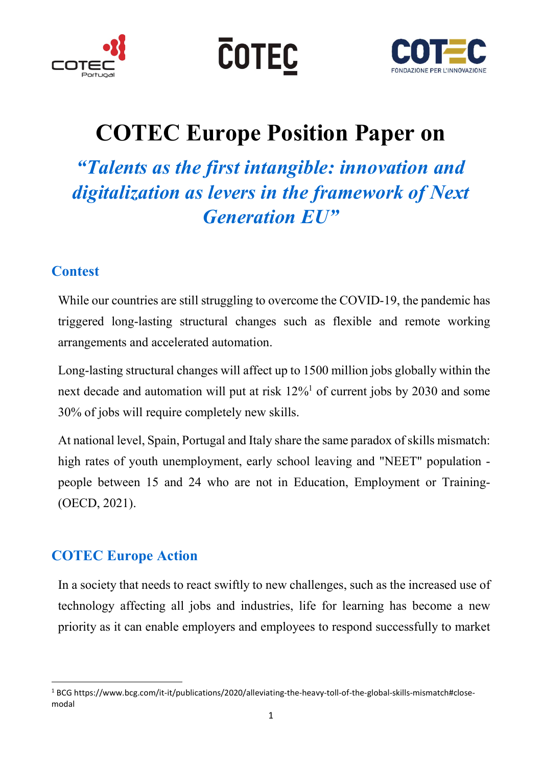





## COTEC Europe Position Paper on

"Talents as the first intangible: innovation and digitalization as levers in the framework of Next Generation EU"

## **Contest**

While our countries are still struggling to overcome the COVID-19, the pandemic has triggered long-lasting structural changes such as flexible and remote working arrangements and accelerated automation.

Long-lasting structural changes will affect up to 1500 million jobs globally within the next decade and automation will put at risk  $12\%$ <sup>1</sup> of current jobs by 2030 and some 30% of jobs will require completely new skills.

At national level, Spain, Portugal and Italy share the same paradox of skills mismatch: high rates of youth unemployment, early school leaving and "NEET" population people between 15 and 24 who are not in Education, Employment or Training- (OECD, 2021).

## COTEC Europe Action

-

In a society that needs to react swiftly to new challenges, such as the increased use of technology affecting all jobs and industries, life for learning has become a new priority as it can enable employers and employees to respond successfully to market

<sup>&</sup>lt;sup>1</sup> BCG https://www.bcg.com/it-it/publications/2020/alleviating-the-heavy-toll-of-the-global-skills-mismatch#closemodal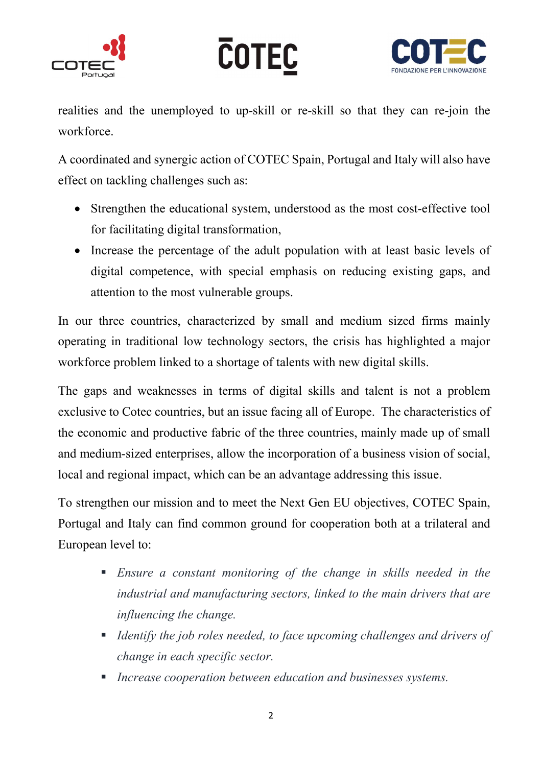





realities and the unemployed to up-skill or re-skill so that they can re-join the workforce.

A coordinated and synergic action of COTEC Spain, Portugal and Italy will also have effect on tackling challenges such as:

- Strengthen the educational system, understood as the most cost-effective tool for facilitating digital transformation,
- Increase the percentage of the adult population with at least basic levels of digital competence, with special emphasis on reducing existing gaps, and attention to the most vulnerable groups.

In our three countries, characterized by small and medium sized firms mainly operating in traditional low technology sectors, the crisis has highlighted a major workforce problem linked to a shortage of talents with new digital skills.

The gaps and weaknesses in terms of digital skills and talent is not a problem exclusive to Cotec countries, but an issue facing all of Europe. The characteristics of the economic and productive fabric of the three countries, mainly made up of small and medium-sized enterprises, allow the incorporation of a business vision of social, local and regional impact, which can be an advantage addressing this issue.

To strengthen our mission and to meet the Next Gen EU objectives, COTEC Spain, Portugal and Italy can find common ground for cooperation both at a trilateral and European level to:

- Ensure a constant monitoring of the change in skills needed in the industrial and manufacturing sectors, linked to the main drivers that are influencing the change.
- Identify the job roles needed, to face upcoming challenges and drivers of change in each specific sector.
- **Increase cooperation between education and businesses systems.**